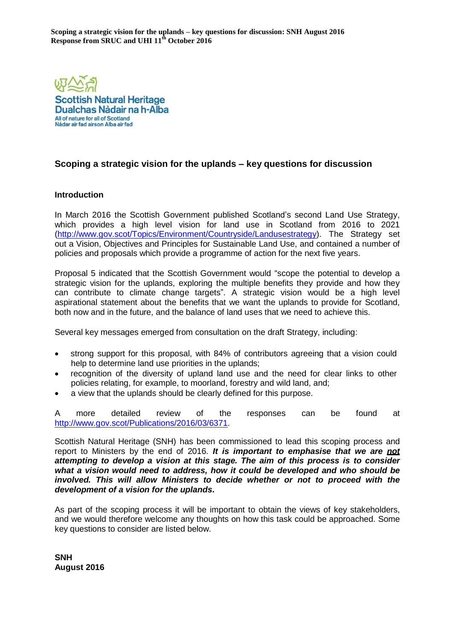

# **Scoping a strategic vision for the uplands – key questions for discussion**

## **Introduction**

In March 2016 the Scottish Government published Scotland's second Land Use Strategy, which provides a high level vision for land use in Scotland from 2016 to 2021 [\(http://www.gov.scot/Topics/Environment/Countryside/Landusestrategy\).](http://www.gov.scot/Topics/Environment/Countryside/Landusestrategy) The Strategy set out a Vision, Objectives and Principles for Sustainable Land Use, and contained a number of policies and proposals which provide a programme of action for the next five years.

Proposal 5 indicated that the Scottish Government would "scope the potential to develop a strategic vision for the uplands, exploring the multiple benefits they provide and how they can contribute to climate change targets". A strategic vision would be a high level aspirational statement about the benefits that we want the uplands to provide for Scotland, both now and in the future, and the balance of land uses that we need to achieve this.

Several key messages emerged from consultation on the draft Strategy, including:

- strong support for this proposal, with 84% of contributors agreeing that a vision could help to determine land use priorities in the uplands;
- recognition of the diversity of upland land use and the need for clear links to other policies relating, for example, to moorland, forestry and wild land, and;
- a view that the uplands should be clearly defined for this purpose.

A more detailed review of the responses can be found at [http://www.gov.scot/Publications/2016/03/6371.](http://www.gov.scot/Publications/2016/03/6371)

Scottish Natural Heritage (SNH) has been commissioned to lead this scoping process and report to Ministers by the end of 2016. *It is important to emphasise that we are not attempting to develop a vision at this stage. The aim of this process is to consider what a vision would need to address, how it could be developed and who should be involved. This will allow Ministers to decide whether or not to proceed with the development of a vision for the uplands***.**

As part of the scoping process it will be important to obtain the views of key stakeholders, and we would therefore welcome any thoughts on how this task could be approached. Some key questions to consider are listed below.

**SNH August 2016**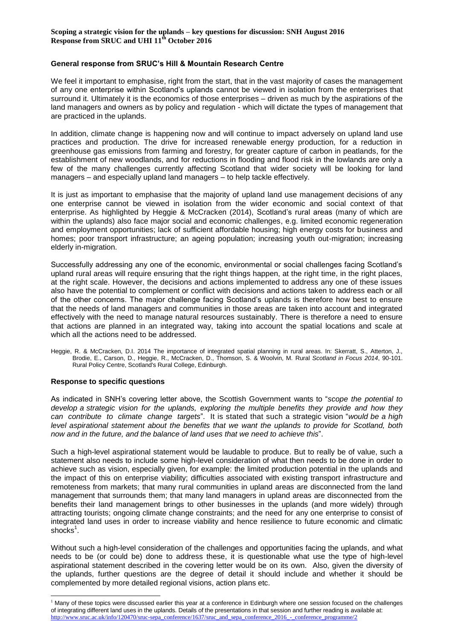#### **General response from SRUC's Hill & Mountain Research Centre**

We feel it important to emphasise, right from the start, that in the vast majority of cases the management of any one enterprise within Scotland's uplands cannot be viewed in isolation from the enterprises that surround it. Ultimately it is the economics of those enterprises – driven as much by the aspirations of the land managers and owners as by policy and regulation - which will dictate the types of management that are practiced in the uplands.

In addition, climate change is happening now and will continue to impact adversely on upland land use practices and production. The drive for increased renewable energy production, for a reduction in greenhouse gas emissions from farming and forestry, for greater capture of carbon in peatlands, for the establishment of new woodlands, and for reductions in flooding and flood risk in the lowlands are only a few of the many challenges currently affecting Scotland that wider society will be looking for land managers – and especially upland land managers – to help tackle effectively.

It is just as important to emphasise that the majority of upland land use management decisions of any one enterprise cannot be viewed in isolation from the wider economic and social context of that enterprise. As highlighted by Heggie & McCracken (2014), Scotland's rural areas (many of which are within the uplands) also face major social and economic challenges, e.g. limited economic regeneration and employment opportunities; lack of sufficient affordable housing; high energy costs for business and homes; poor transport infrastructure; an ageing population; increasing youth out-migration; increasing elderly in-migration.

Successfully addressing any one of the economic, environmental or social challenges facing Scotland's upland rural areas will require ensuring that the right things happen, at the right time, in the right places, at the right scale. However, the decisions and actions implemented to address any one of these issues also have the potential to complement or conflict with decisions and actions taken to address each or all of the other concerns. The major challenge facing Scotland's uplands is therefore how best to ensure that the needs of land managers and communities in those areas are taken into account and integrated effectively with the need to manage natural resources sustainably. There is therefore a need to ensure that actions are planned in an integrated way, taking into account the spatial locations and scale at which all the actions need to be addressed.

Heggie, R. & McCracken, D.I. 2014 The importance of integrated spatial planning in rural areas. In: Skerratt, S., Atterton, J., Brodie, E., Carson, D., Heggie, R., McCracken, D., Thomson, S. & Woolvin, M. Rural *[Scotland in Focus 2014](http://www.sruc.ac.uk/info/120428/rural_scotland_in_focus/1265/2014_rural_scotland_in_focus_report)*, 90-101. Rural Policy Centre, Scotland's Rural College, Edinburgh.

#### **Response to specific questions**

l

As indicated in SNH's covering letter above, the Scottish Government wants to "*scope the potential to develop a strategic vision for the uplands, exploring the multiple benefits they provide and how they can contribute to climate change targets*". It is stated that such a strategic vision "*would be a high level aspirational statement about the benefits that we want the uplands to provide for Scotland, both now and in the future, and the balance of land uses that we need to achieve this*".

Such a high-level aspirational statement would be laudable to produce. But to really be of value, such a statement also needs to include some high-level consideration of what then needs to be done in order to achieve such as vision, especially given, for example: the limited production potential in the uplands and the impact of this on enterprise viability; difficulties associated with existing transport infrastructure and remoteness from markets; that many rural communities in upland areas are disconnected from the land management that surrounds them; that many land managers in upland areas are disconnected from the benefits their land management brings to other businesses in the uplands (and more widely) through attracting tourists; ongoing climate change constraints; and the need for any one enterprise to consist of integrated land uses in order to increase viability and hence resilience to future economic and climatic shocks<sup>1</sup>.

Without such a high-level consideration of the challenges and opportunities facing the uplands, and what needs to be (or could be) done to address these, it is questionable what use the type of high-level aspirational statement described in the covering letter would be on its own. Also, given the diversity of the uplands, further questions are the degree of detail it should include and whether it should be complemented by more detailed regional visions, action plans etc.

<sup>&</sup>lt;sup>1</sup> Many of these topics were discussed earlier this year at a conference in Edinburgh where one session focused on the challenges of integrating different land uses in the uplands. Details of the presentations in that session and further reading is available at: [http://www.sruc.ac.uk/info/120470/sruc-sepa\\_conference/1637/sruc\\_and\\_sepa\\_conference\\_2016\\_-\\_conference\\_programme/2](http://www.sruc.ac.uk/info/120470/sruc-sepa_conference/1637/sruc_and_sepa_conference_2016_-_conference_programme/2)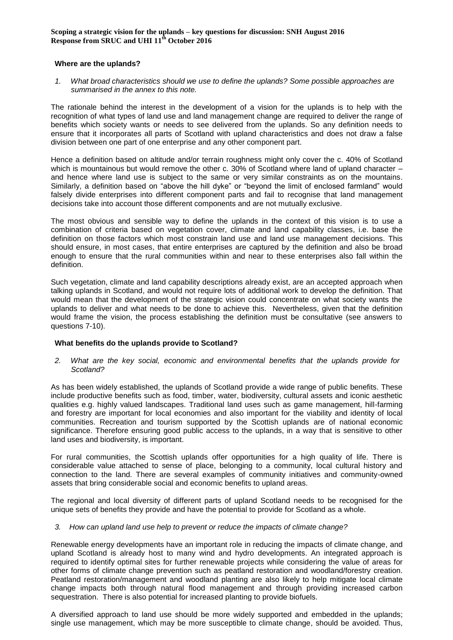#### **Where are the uplands?**

*1. What broad characteristics should we use to define the uplands? Some possible approaches are summarised in the annex to this note.*

The rationale behind the interest in the development of a vision for the uplands is to help with the recognition of what types of land use and land management change are required to deliver the range of benefits which society wants or needs to see delivered from the uplands. So any definition needs to ensure that it incorporates all parts of Scotland with upland characteristics and does not draw a false division between one part of one enterprise and any other component part.

Hence a definition based on altitude and/or terrain roughness might only cover the c. 40% of Scotland which is mountainous but would remove the other c. 30% of Scotland where land of upland character – and hence where land use is subject to the same or very similar constraints as on the mountains. Similarly, a definition based on "above the hill dyke" or "beyond the limit of enclosed farmland" would falsely divide enterprises into different component parts and fail to recognise that land management decisions take into account those different components and are not mutually exclusive.

The most obvious and sensible way to define the uplands in the context of this vision is to use a combination of criteria based on vegetation cover, climate and land capability classes, i.e. base the definition on those factors which most constrain land use and land use management decisions. This should ensure, in most cases, that entire enterprises are captured by the definition and also be broad enough to ensure that the rural communities within and near to these enterprises also fall within the definition.

Such vegetation, climate and land capability descriptions already exist, are an accepted approach when talking uplands in Scotland, and would not require lots of additional work to develop the definition. That would mean that the development of the strategic vision could concentrate on what society wants the uplands to deliver and what needs to be done to achieve this. Nevertheless, given that the definition would frame the vision, the process establishing the definition must be consultative (see answers to questions 7-10).

#### **What benefits do the uplands provide to Scotland?**

*2. What are the key social, economic and environmental benefits that the uplands provide for Scotland?*

As has been widely established, the uplands of Scotland provide a wide range of public benefits. These include productive benefits such as food, timber, water, biodiversity, cultural assets and iconic aesthetic qualities e.g. highly valued landscapes. Traditional land uses such as game management, hill-farming and forestry are important for local economies and also important for the viability and identity of local communities. Recreation and tourism supported by the Scottish uplands are of national economic significance. Therefore ensuring good public access to the uplands, in a way that is sensitive to other land uses and biodiversity, is important.

For rural communities, the Scottish uplands offer opportunities for a high quality of life. There is considerable value attached to sense of place, belonging to a community, local cultural history and connection to the land. There are several examples of community initiatives and community-owned assets that bring considerable social and economic benefits to upland areas.

The regional and local diversity of different parts of upland Scotland needs to be recognised for the unique sets of benefits they provide and have the potential to provide for Scotland as a whole.

#### *3. How can upland land use help to prevent or reduce the impacts of climate change?*

Renewable energy developments have an important role in reducing the impacts of climate change, and upland Scotland is already host to many wind and hydro developments. An integrated approach is required to identify optimal sites for further renewable projects while considering the value of areas for other forms of climate change prevention such as peatland restoration and woodland/forestry creation. Peatland restoration/management and woodland planting are also likely to help mitigate local climate change impacts both through natural flood management and through providing increased carbon sequestration. There is also potential for increased planting to provide biofuels.

A diversified approach to land use should be more widely supported and embedded in the uplands; single use management, which may be more susceptible to climate change, should be avoided. Thus,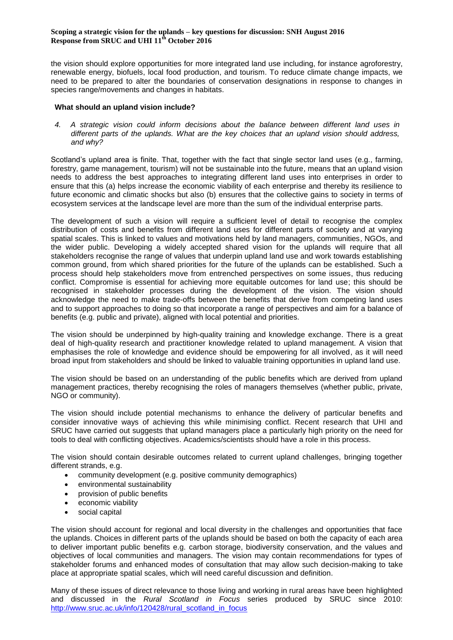the vision should explore opportunities for more integrated land use including, for instance agroforestry, renewable energy, biofuels, local food production, and tourism. To reduce climate change impacts, we need to be prepared to alter the boundaries of conservation designations in response to changes in species range/movements and changes in habitats.

## **What should an upland vision include?**

*4. A strategic vision could inform decisions about the balance between different land uses in different parts of the uplands. What are the key choices that an upland vision should address, and why?*

Scotland's upland area is finite. That, together with the fact that single sector land uses (e.g., farming, forestry, game management, tourism) will not be sustainable into the future, means that an upland vision needs to address the best approaches to integrating different land uses into enterprises in order to ensure that this (a) helps increase the economic viability of each enterprise and thereby its resilience to future economic and climatic shocks but also (b) ensures that the collective gains to society in terms of ecosystem services at the landscape level are more than the sum of the individual enterprise parts.

The development of such a vision will require a sufficient level of detail to recognise the complex distribution of costs and benefits from different land uses for different parts of society and at varying spatial scales. This is linked to values and motivations held by land managers, communities, NGOs, and the wider public. Developing a widely accepted shared vision for the uplands will require that all stakeholders recognise the range of values that underpin upland land use and work towards establishing common ground, from which shared priorities for the future of the uplands can be established. Such a process should help stakeholders move from entrenched perspectives on some issues, thus reducing conflict. Compromise is essential for achieving more equitable outcomes for land use; this should be recognised in stakeholder processes during the development of the vision. The vision should acknowledge the need to make trade-offs between the benefits that derive from competing land uses and to support approaches to doing so that incorporate a range of perspectives and aim for a balance of benefits (e.g. public and private), aligned with local potential and priorities.

The vision should be underpinned by high-quality training and knowledge exchange. There is a great deal of high-quality research and practitioner knowledge related to upland management. A vision that emphasises the role of knowledge and evidence should be empowering for all involved, as it will need broad input from stakeholders and should be linked to valuable training opportunities in upland land use.

The vision should be based on an understanding of the public benefits which are derived from upland management practices, thereby recognising the roles of managers themselves (whether public, private, NGO or community).

The vision should include potential mechanisms to enhance the delivery of particular benefits and consider innovative ways of achieving this while minimising conflict. Recent research that UHI and SRUC have carried out suggests that upland managers place a particularly high priority on the need for tools to deal with conflicting objectives. Academics/scientists should have a role in this process.

The vision should contain desirable outcomes related to current upland challenges, bringing together different strands, e.g.

- community development (e.g. positive community demographics)
- environmental sustainability
- provision of public benefits
- economic viability
- social capital

The vision should account for regional and local diversity in the challenges and opportunities that face the uplands. Choices in different parts of the uplands should be based on both the capacity of each area to deliver important public benefits e.g. carbon storage, biodiversity conservation, and the values and objectives of local communities and managers. The vision may contain recommendations for types of stakeholder forums and enhanced modes of consultation that may allow such decision-making to take place at appropriate spatial scales, which will need careful discussion and definition.

Many of these issues of direct relevance to those living and working in rural areas have been highlighted and discussed in the *Rural Scotland in Focus* series produced by SRUC since 2010: [http://www.sruc.ac.uk/info/120428/rural\\_scotland\\_in\\_focus](http://www.sruc.ac.uk/info/120428/rural_scotland_in_focus)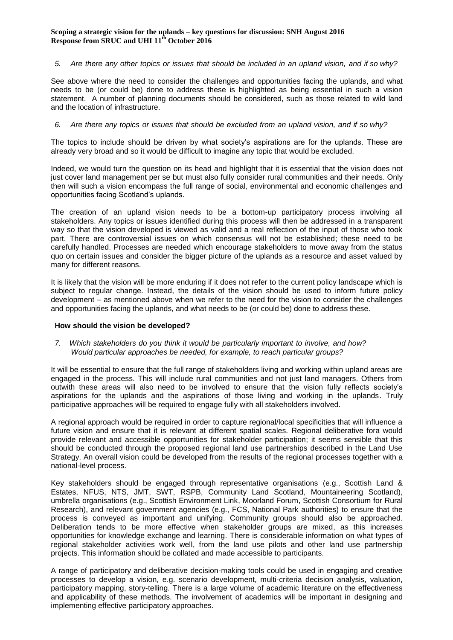#### 5. Are there any other topics or issues that should be included in an upland vision, and if so why?

See above where the need to consider the challenges and opportunities facing the uplands, and what needs to be (or could be) done to address these is highlighted as being essential in such a vision statement. A number of planning documents should be considered, such as those related to wild land and the location of infrastructure.

#### *6. Are there any topics or issues that should be excluded from an upland vision, and if so why?*

The topics to include should be driven by what society's aspirations are for the uplands. These are already very broad and so it would be difficult to imagine any topic that would be excluded.

Indeed, we would turn the question on its head and highlight that it is essential that the vision does not just cover land management per se but must also fully consider rural communities and their needs. Only then will such a vision encompass the full range of social, environmental and economic challenges and opportunities facing Scotland's uplands.

The creation of an upland vision needs to be a bottom-up participatory process involving all stakeholders. Any topics or issues identified during this process will then be addressed in a transparent way so that the vision developed is viewed as valid and a real reflection of the input of those who took part. There are controversial issues on which consensus will not be established; these need to be carefully handled. Processes are needed which encourage stakeholders to move away from the status quo on certain issues and consider the bigger picture of the uplands as a resource and asset valued by many for different reasons.

It is likely that the vision will be more enduring if it does not refer to the current policy landscape which is subject to regular change. Instead, the details of the vision should be used to inform future policy development – as mentioned above when we refer to the need for the vision to consider the challenges and opportunities facing the uplands, and what needs to be (or could be) done to address these.

#### **How should the vision be developed?**

#### *7. Which stakeholders do you think it would be particularly important to involve, and how? Would particular approaches be needed, for example, to reach particular groups?*

It will be essential to ensure that the full range of stakeholders living and working within upland areas are engaged in the process. This will include rural communities and not just land managers. Others from outwith these areas will also need to be involved to ensure that the vision fully reflects society's aspirations for the uplands and the aspirations of those living and working in the uplands. Truly participative approaches will be required to engage fully with all stakeholders involved.

A regional approach would be required in order to capture regional/local specificities that will influence a future vision and ensure that it is relevant at different spatial scales. Regional deliberative fora would provide relevant and accessible opportunities for stakeholder participation; it seems sensible that this should be conducted through the proposed regional land use partnerships described in the Land Use Strategy. An overall vision could be developed from the results of the regional processes together with a national-level process.

Key stakeholders should be engaged through representative organisations (e.g., Scottish Land & Estates, NFUS, NTS, JMT, SWT, RSPB, Community Land Scotland, Mountaineering Scotland), umbrella organisations (e.g., Scottish Environment Link, Moorland Forum, Scottish Consortium for Rural Research), and relevant government agencies (e.g., FCS, National Park authorities) to ensure that the process is conveyed as important and unifying. Community groups should also be approached. Deliberation tends to be more effective when stakeholder groups are mixed, as this increases opportunities for knowledge exchange and learning. There is considerable information on what types of regional stakeholder activities work well, from the land use pilots and other land use partnership projects. This information should be collated and made accessible to participants.

A range of participatory and deliberative decision-making tools could be used in engaging and creative processes to develop a vision, e.g. scenario development, multi-criteria decision analysis, valuation, participatory mapping, story-telling. There is a large volume of academic literature on the effectiveness and applicability of these methods. The involvement of academics will be important in designing and implementing effective participatory approaches.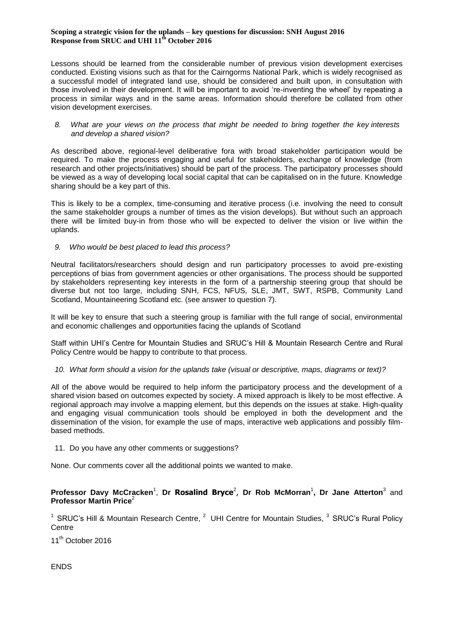Lessons should be learned from the considerable number of previous vision development exercises conducted. Existing visions such as that for the Cairngorms National Park, which is widely recognised as a successful model of integrated land use, should be considered and built upon, in consultation with those involved in their development. It will be important to avoid 're-inventing the wheel' by repeating a process in similar ways and in the same areas. Information should therefore be collated from other vision development exercises.

#### *8. What are your views on the process that might be needed to bring together the key interests and develop a shared vision?*

As described above, regional-level deliberative fora with broad stakeholder participation would be required. To make the process engaging and useful for stakeholders, exchange of knowledge (from research and other projects/initiatives) should be part of the process. The participatory processes should be viewed as a way of developing local social capital that can be capitalised on in the future. Knowledge sharing should be a key part of this.

This is likely to be a complex, time-consuming and iterative process (i.e. involving the need to consult the same stakeholder groups a number of times as the vision develops). But without such an approach there will be limited buy-in from those who will be expected to deliver the vision or live within the uplands.

## *9. Who would be best placed to lead this process?*

Neutral facilitators/researchers should design and run participatory processes to avoid pre-existing perceptions of bias from government agencies or other organisations. The process should be supported by stakeholders representing key interests in the form of a partnership steering group that should be diverse but not too large, including SNH, FCS, NFUS, SLE, JMT, SWT, RSPB, Community Land Scotland, Mountaineering Scotland etc. (see answer to question 7).

It will be key to ensure that such a steering group is familiar with the full range of social, environmental and economic challenges and opportunities facing the uplands of Scotland

Staff within UHI's Centre for Mountain Studies and SRUC's Hill & Mountain Research Centre and Rural Policy Centre would be happy to contribute to that process.

## *10. What form should a vision for the uplands take (visual or descriptive, maps, diagrams or text)?*

All of the above would be required to help inform the participatory process and the development of a shared vision based on outcomes expected by society. A mixed approach is likely to be most effective. A regional approach may involve a mapping element, but this depends on the issues at stake. High-quality and engaging visual communication tools should be employed in both the development and the dissemination of the vision, for example the use of maps, interactive web applications and possibly filmbased methods.

#### 11. Do you have any other comments or suggestions?

None. Our comments cover all the additional points we wanted to make.

## **Professor Davy McCracken<sup>1</sup>, Dr Rosalind Bryce<sup>2</sup>, Dr Rob McMorran<sup>1</sup>, Dr Jane Atterton<sup>3</sup> and Professor Martin Price**<sup>2</sup>

<sup>1</sup> SRUC's Hill & Mountain Research Centre,  $^2$  UHI Centre for Mountain Studies,  $^3$  SRUC's Rural Policy **Centre** 

11<sup>th</sup> October 2016

ENDS